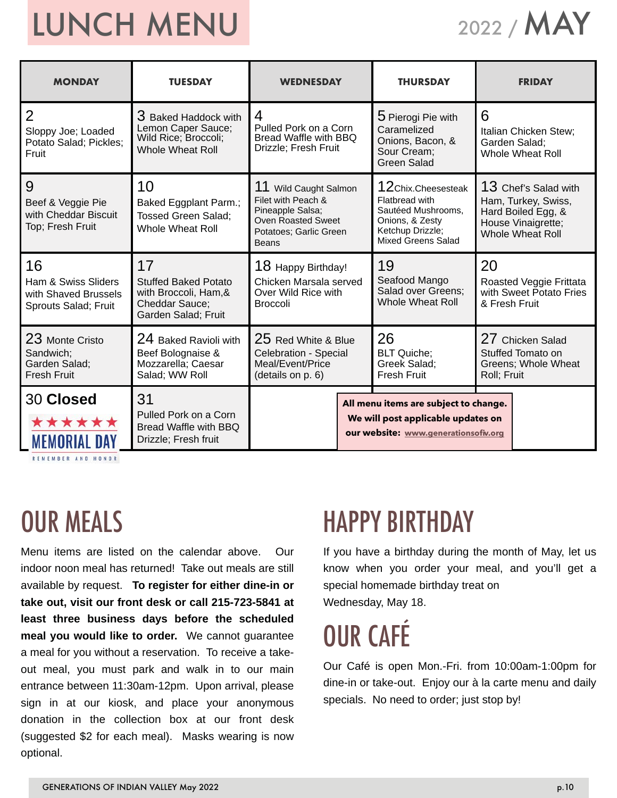# LUNCH MENU

2022 / MAY

| <b>MONDAY</b>                                                             | <b>TUESDAY</b>                                                                                      | <b>WEDNESDAY</b>                                                                                                                    | <b>THURSDAY</b>                                                                                                                | <b>FRIDAY</b>                                                                                                      |  |  |
|---------------------------------------------------------------------------|-----------------------------------------------------------------------------------------------------|-------------------------------------------------------------------------------------------------------------------------------------|--------------------------------------------------------------------------------------------------------------------------------|--------------------------------------------------------------------------------------------------------------------|--|--|
| 2<br>Sloppy Joe; Loaded<br>Potato Salad; Pickles;<br>Fruit                | 3 Baked Haddock with<br>Lemon Caper Sauce;<br>Wild Rice; Broccoli;<br><b>Whole Wheat Roll</b>       | 4<br>Pulled Pork on a Corn<br>Bread Waffle with BBQ<br>Drizzle; Fresh Fruit                                                         | 5 Pierogi Pie with<br>Caramelized<br>Onions, Bacon, &<br>Sour Cream;<br><b>Green Salad</b>                                     | 6<br>Italian Chicken Stew;<br>Garden Salad;<br><b>Whole Wheat Roll</b>                                             |  |  |
| 9<br>Beef & Veggie Pie<br>with Cheddar Biscuit<br>Top; Fresh Fruit        | 10<br>Baked Eggplant Parm.;<br><b>Tossed Green Salad;</b><br><b>Whole Wheat Roll</b>                | Wild Caught Salmon<br>Filet with Peach &<br>Pineapple Salsa;<br><b>Oven Roasted Sweet</b><br>Potatoes; Garlic Green<br><b>Beans</b> | 12Chix.Cheesesteak<br>Flatbread with<br>Sautéed Mushrooms.<br>Onions, & Zesty<br>Ketchup Drizzle;<br><b>Mixed Greens Salad</b> | 13 Chef's Salad with<br>Ham, Turkey, Swiss,<br>Hard Boiled Egg, &<br>House Vinaigrette;<br><b>Whole Wheat Roll</b> |  |  |
| 16<br>Ham & Swiss Sliders<br>with Shaved Brussels<br>Sprouts Salad; Fruit | 17<br><b>Stuffed Baked Potato</b><br>with Broccoli, Ham, &<br>Cheddar Sauce;<br>Garden Salad; Fruit | 18 Happy Birthday!<br>Chicken Marsala served<br>Over Wild Rice with<br><b>Broccoli</b>                                              | 19<br>Seafood Mango<br>Salad over Greens;<br>Whole Wheat Roll                                                                  | 20<br>Roasted Veggie Frittata<br>with Sweet Potato Fries<br>& Fresh Fruit                                          |  |  |
| 23 Monte Cristo<br>Sandwich;<br>Garden Salad;<br><b>Fresh Fruit</b>       | 24 Baked Ravioli with<br>Beef Bolognaise &<br>Mozzarella; Caesar<br>Salad; WW Roll                  | 25 Red White & Blue<br>Celebration - Special<br>Meal/Event/Price<br>(details on p. 6)                                               | 26<br><b>BLT Quiche;</b><br>Greek Salad;<br><b>Fresh Fruit</b>                                                                 | 27 Chicken Salad<br>Stuffed Tomato on<br>Greens; Whole Wheat<br>Roll; Fruit                                        |  |  |
| 30 Closed<br>******<br>MEMURIA                                            | 31<br>Pulled Pork on a Corn<br><b>Bread Waffle with BBQ</b><br>Drizzle; Fresh fruit                 |                                                                                                                                     | All menu items are subject to change.<br>We will post applicable updates on<br>our website: www.generationsofiv.org            |                                                                                                                    |  |  |

REMEMBER AND HONOR

#### OUR MEALS

Menu items are listed on the calendar above. Our indoor noon meal has returned! Take out meals are still available by request. **To register for either dine-in or take out, visit our front desk or call 215-723-5841 at least three business days before the scheduled meal you would like to order.** We cannot guarantee a meal for you without a reservation. To receive a takeout meal, you must park and walk in to our main entrance between 11:30am-12pm. Upon arrival, please sign in at our kiosk, and place your anonymous donation in the collection box at our front desk (suggested \$2 for each meal). Masks wearing is now optional.

#### HAPPY BIRTHDAY

If you have a birthday during the month of May, let us know when you order your meal, and you'll get a special homemade birthday treat on Wednesday, May 18.

### OUR CAFÉ

Our Café is open Mon.-Fri. from 10:00am-1:00pm for dine-in or take-out. Enjoy our à la carte menu and daily specials. No need to order; just stop by!